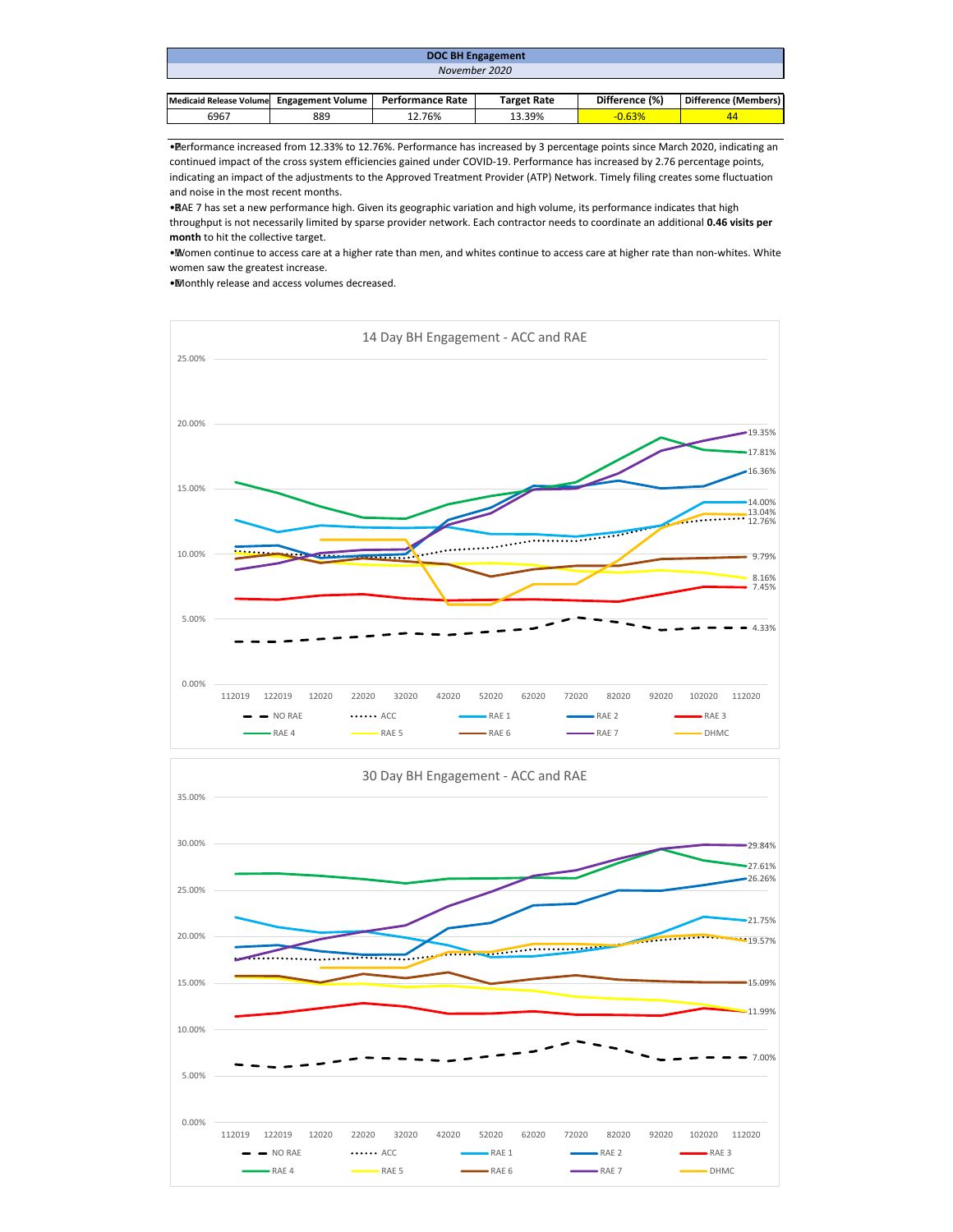| <b>DOC BH Engagement</b>                  |  |                  |                    |                |                      |  |  |  |
|-------------------------------------------|--|------------------|--------------------|----------------|----------------------|--|--|--|
| November 2020                             |  |                  |                    |                |                      |  |  |  |
|                                           |  |                  |                    |                |                      |  |  |  |
| Medicaid Release Volume Engagement Volume |  | Performance Rate | <b>Target Rate</b> | Difference (%) | Difference (Members) |  |  |  |

• Performance increased from 12.33% to 12.76%. Performance has increased by 3 percentage points since March 2020, indicating an continued impact of the cross system efficiencies gained under COVID-19. Performance has increased by 2.76 percentage points, indicating an impact of the adjustments to the Approved Treatment Provider (ATP) Network. Timely filing creates some fluctuation and noise in the most recent months.

6967 | 889 | 12.76% | 13.39% <mark>| -0.63% | 44</mark>

• RAE 7 has set a new performance high. Given its geographic variation and high volume, its performance indicates that high throughput is not necessarily limited by sparse provider network. Each contractor needs to coordinate an additional **0.46 visits per month** to hit the collective target.

• Women continue to access care at a higher rate than men, and whites continue to access care at higher rate than non-whites. White women saw the greatest increase.

• Monthly release and access volumes decreased.